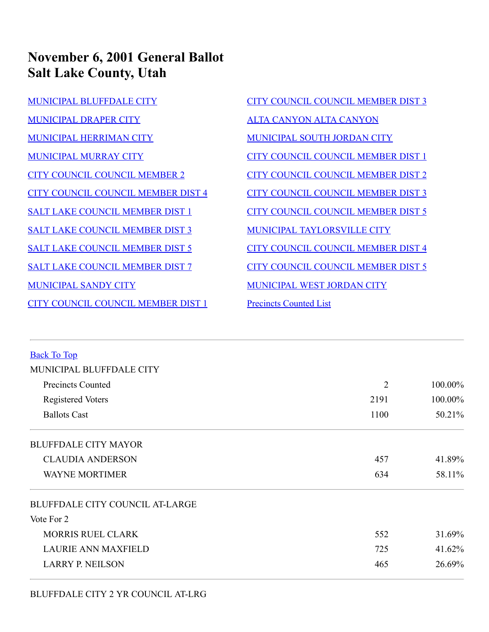## **November 6, 2001 General Ballot Salt Lake County, Utah**

- [MUNICIPAL BLUFFDALE CITY](#page-0-0) [MUNICIPAL DRAPER CITY](#page-1-0) [MUNICIPAL HERRIMAN CITY](#page-1-1) [MUNICIPAL MURRAY CITY](#page-2-0) [CITY COUNCIL COUNCIL MEMBER 2](#page-2-1) [CITY COUNCIL COUNCIL MEMBER DIST 4](#page-2-2) [SALT LAKE COUNCIL MEMBER DIST 1](#page-2-3) [SALT LAKE COUNCIL MEMBER DIST 3](#page-3-0) [SALT LAKE COUNCIL MEMBER DIST 5](#page-3-1) [SALT LAKE COUNCIL MEMBER DIST 7](#page-3-2) [MUNICIPAL SANDY CITY](#page-3-3) [CITY COUNCIL COUNCIL MEMBER DIST 1](#page-4-0)
- [CITY COUNCIL COUNCIL MEMBER DIST 3](#page-4-1) [ALTA CANYON ALTA CANYON](#page-4-2) [MUNICIPAL SOUTH JORDAN CITY](#page-5-0) [CITY COUNCIL COUNCIL MEMBER DIST 1](#page-5-1) [CITY COUNCIL COUNCIL MEMBER DIST 2](#page-5-2) [CITY COUNCIL COUNCIL MEMBER DIST 3](#page-5-3) [CITY COUNCIL COUNCIL MEMBER DIST 5](#page-6-0) [MUNICIPAL TAYLORSVILLE CITY](#page-6-1) [CITY COUNCIL COUNCIL MEMBER DIST 4](#page-6-2) [CITY COUNCIL COUNCIL MEMBER DIST 5](#page-6-3) [MUNICIPAL WEST JORDAN CITY](#page-7-0) [Precincts Counted List](#page-7-1)

<span id="page-0-0"></span>

| <b>Back To Top</b>                     |                |         |
|----------------------------------------|----------------|---------|
| MUNICIPAL BLUFFDALE CITY               |                |         |
| Precincts Counted                      | $\overline{2}$ | 100.00% |
| <b>Registered Voters</b>               | 2191           | 100.00% |
| <b>Ballots Cast</b>                    | 1100           | 50.21%  |
| <b>BLUFFDALE CITY MAYOR</b>            |                |         |
| <b>CLAUDIA ANDERSON</b>                | 457            | 41.89%  |
| <b>WAYNE MORTIMER</b>                  | 634            | 58.11%  |
| <b>BLUFFDALE CITY COUNCIL AT-LARGE</b> |                |         |
| Vote For 2                             |                |         |
| <b>MORRIS RUEL CLARK</b>               | 552            | 31.69%  |
| <b>LAURIE ANN MAXFIELD</b>             | 725            | 41.62%  |
| <b>LARRY P. NEILSON</b>                | 465            | 26.69%  |
|                                        |                |         |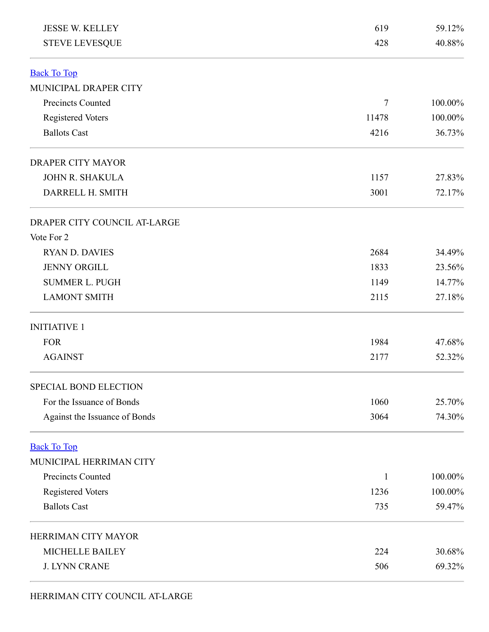<span id="page-1-1"></span><span id="page-1-0"></span>

| <b>JESSE W. KELLEY</b>        | 619    | 59.12%  |  |
|-------------------------------|--------|---------|--|
| <b>STEVE LEVESQUE</b>         | 428    | 40.88%  |  |
| <b>Back To Top</b>            |        |         |  |
| MUNICIPAL DRAPER CITY         |        |         |  |
| <b>Precincts Counted</b>      | $\tau$ | 100.00% |  |
| Registered Voters             | 11478  | 100.00% |  |
| <b>Ballots Cast</b>           | 4216   | 36.73%  |  |
| <b>DRAPER CITY MAYOR</b>      |        |         |  |
| <b>JOHN R. SHAKULA</b>        | 1157   | 27.83%  |  |
| DARRELL H. SMITH              | 3001   | 72.17%  |  |
| DRAPER CITY COUNCIL AT-LARGE  |        |         |  |
| Vote For 2                    |        |         |  |
| <b>RYAN D. DAVIES</b>         | 2684   | 34.49%  |  |
| <b>JENNY ORGILL</b>           | 1833   | 23.56%  |  |
| <b>SUMMER L. PUGH</b>         | 1149   | 14.77%  |  |
| <b>LAMONT SMITH</b>           | 2115   | 27.18%  |  |
| <b>INITIATIVE 1</b>           |        |         |  |
| <b>FOR</b>                    | 1984   | 47.68%  |  |
| <b>AGAINST</b>                | 2177   | 52.32%  |  |
| <b>SPECIAL BOND ELECTION</b>  |        |         |  |
| For the Issuance of Bonds     | 1060   | 25.70%  |  |
| Against the Issuance of Bonds | 3064   | 74.30%  |  |
| <b>Back To Top</b>            |        |         |  |
| MUNICIPAL HERRIMAN CITY       |        |         |  |
| <b>Precincts Counted</b>      | 1      | 100.00% |  |
| Registered Voters             | 1236   | 100.00% |  |
| <b>Ballots Cast</b>           | 735    | 59.47%  |  |
| HERRIMAN CITY MAYOR           |        |         |  |
| <b>MICHELLE BAILEY</b>        | 224    | 30.68%  |  |
| <b>J. LYNN CRANE</b>          | 506    | 69.32%  |  |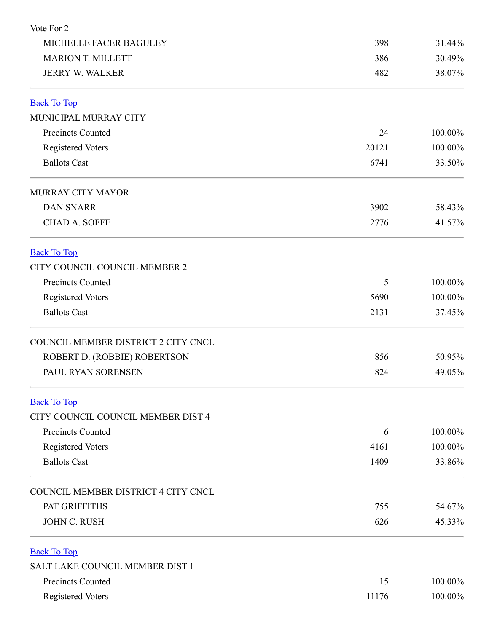<span id="page-2-3"></span><span id="page-2-2"></span><span id="page-2-1"></span><span id="page-2-0"></span>

| Vote For 2                          |       |         |
|-------------------------------------|-------|---------|
| MICHELLE FACER BAGULEY              | 398   | 31.44%  |
| <b>MARION T. MILLETT</b>            | 386   | 30.49%  |
| <b>JERRY W. WALKER</b>              | 482   | 38.07%  |
| <b>Back To Top</b>                  |       |         |
| MUNICIPAL MURRAY CITY               |       |         |
| Precincts Counted                   | 24    | 100.00% |
| <b>Registered Voters</b>            | 20121 | 100.00% |
| <b>Ballots Cast</b>                 | 6741  | 33.50%  |
| <b>MURRAY CITY MAYOR</b>            |       |         |
| <b>DAN SNARR</b>                    | 3902  | 58.43%  |
| <b>CHAD A. SOFFE</b>                | 2776  | 41.57%  |
| <b>Back To Top</b>                  |       |         |
| CITY COUNCIL COUNCIL MEMBER 2       |       |         |
| Precincts Counted                   | 5     | 100.00% |
| <b>Registered Voters</b>            | 5690  | 100.00% |
| <b>Ballots Cast</b>                 | 2131  | 37.45%  |
| COUNCIL MEMBER DISTRICT 2 CITY CNCL |       |         |
| ROBERT D. (ROBBIE) ROBERTSON        | 856   | 50.95%  |
| PAUL RYAN SORENSEN                  | 824   | 49.05%  |
| <b>Back To Top</b>                  |       |         |
| CITY COUNCIL COUNCIL MEMBER DIST 4  |       |         |
| Precincts Counted                   | 6     | 100.00% |
| <b>Registered Voters</b>            | 4161  | 100.00% |
| <b>Ballots Cast</b>                 | 1409  | 33.86%  |
| COUNCIL MEMBER DISTRICT 4 CITY CNCL |       |         |
| PAT GRIFFITHS                       | 755   | 54.67%  |
| <b>JOHN C. RUSH</b>                 | 626   | 45.33%  |
| <b>Back To Top</b>                  |       |         |
| SALT LAKE COUNCIL MEMBER DIST 1     |       |         |
| Precincts Counted                   | 15    | 100.00% |
| Registered Voters                   | 11176 | 100.00% |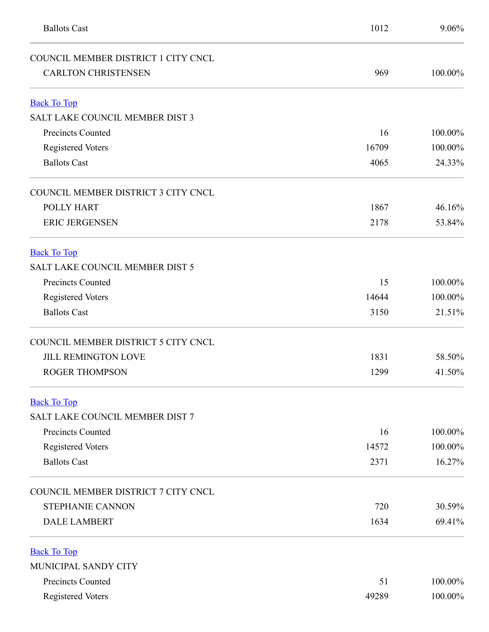<span id="page-3-3"></span><span id="page-3-2"></span><span id="page-3-1"></span><span id="page-3-0"></span>

| <b>Ballots Cast</b>                    | 1012  | 9.06%   |
|----------------------------------------|-------|---------|
| COUNCIL MEMBER DISTRICT 1 CITY CNCL    |       |         |
| <b>CARLTON CHRISTENSEN</b>             | 969   | 100.00% |
| <b>Back To Top</b>                     |       |         |
| <b>SALT LAKE COUNCIL MEMBER DIST 3</b> |       |         |
| <b>Precincts Counted</b>               | 16    | 100.00% |
| Registered Voters                      | 16709 | 100.00% |
| <b>Ballots Cast</b>                    | 4065  | 24.33%  |
| COUNCIL MEMBER DISTRICT 3 CITY CNCL    |       |         |
| <b>POLLY HART</b>                      | 1867  | 46.16%  |
| <b>ERIC JERGENSEN</b>                  | 2178  | 53.84%  |
| <b>Back To Top</b>                     |       |         |
| SALT LAKE COUNCIL MEMBER DIST 5        |       |         |
| Precincts Counted                      | 15    | 100.00% |
| <b>Registered Voters</b>               | 14644 | 100.00% |
| <b>Ballots Cast</b>                    | 3150  | 21.51%  |
| COUNCIL MEMBER DISTRICT 5 CITY CNCL    |       |         |
| <b>JILL REMINGTON LOVE</b>             | 1831  | 58.50%  |
| <b>ROGER THOMPSON</b>                  | 1299  | 41.50%  |
| <b>Back To Top</b>                     |       |         |
| SALT LAKE COUNCIL MEMBER DIST 7        |       |         |
| Precincts Counted                      | 16    | 100.00% |
| <b>Registered Voters</b>               | 14572 | 100.00% |
| <b>Ballots Cast</b>                    | 2371  | 16.27%  |
| COUNCIL MEMBER DISTRICT 7 CITY CNCL    |       |         |
| STEPHANIE CANNON                       | 720   | 30.59%  |
| <b>DALE LAMBERT</b>                    | 1634  | 69.41%  |
| <b>Back To Top</b>                     |       |         |
| MUNICIPAL SANDY CITY                   |       |         |
| Precincts Counted                      | 51    | 100.00% |
| <b>Registered Voters</b>               | 49289 | 100.00% |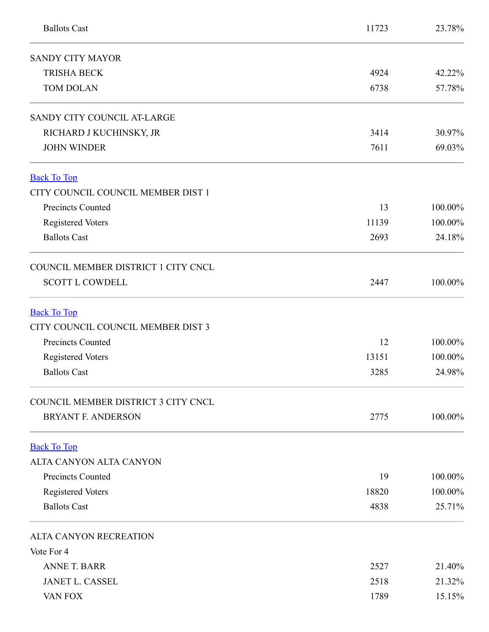<span id="page-4-2"></span><span id="page-4-1"></span><span id="page-4-0"></span>

| <b>Ballots Cast</b>                 | 11723 | 23.78%  |
|-------------------------------------|-------|---------|
| <b>SANDY CITY MAYOR</b>             |       |         |
| <b>TRISHA BECK</b>                  | 4924  | 42.22%  |
| <b>TOM DOLAN</b>                    | 6738  | 57.78%  |
| SANDY CITY COUNCIL AT-LARGE         |       |         |
| RICHARD J KUCHINSKY, JR             | 3414  | 30.97%  |
| <b>JOHN WINDER</b>                  | 7611  | 69.03%  |
| <b>Back To Top</b>                  |       |         |
| CITY COUNCIL COUNCIL MEMBER DIST 1  |       |         |
| Precincts Counted                   | 13    | 100.00% |
| <b>Registered Voters</b>            | 11139 | 100.00% |
| <b>Ballots Cast</b>                 | 2693  | 24.18%  |
| COUNCIL MEMBER DISTRICT 1 CITY CNCL |       |         |
| <b>SCOTT L COWDELL</b>              | 2447  | 100.00% |
| <b>Back To Top</b>                  |       |         |
| CITY COUNCIL COUNCIL MEMBER DIST 3  |       |         |
| Precincts Counted                   | 12    | 100.00% |
| <b>Registered Voters</b>            | 13151 | 100.00% |
| <b>Ballots Cast</b>                 | 3285  | 24.98%  |
| COUNCIL MEMBER DISTRICT 3 CITY CNCL |       |         |
| <b>BRYANT F. ANDERSON</b>           | 2775  | 100.00% |
| <b>Back To Top</b>                  |       |         |
| ALTA CANYON ALTA CANYON             |       |         |
| <b>Precincts Counted</b>            | 19    | 100.00% |
| Registered Voters                   | 18820 | 100.00% |
| <b>Ballots Cast</b>                 | 4838  | 25.71%  |
| ALTA CANYON RECREATION              |       |         |
| Vote For 4                          |       |         |
| <b>ANNE T. BARR</b>                 | 2527  | 21.40%  |
| <b>JANET L. CASSEL</b>              | 2518  | 21.32%  |
| VAN FOX                             | 1789  | 15.15%  |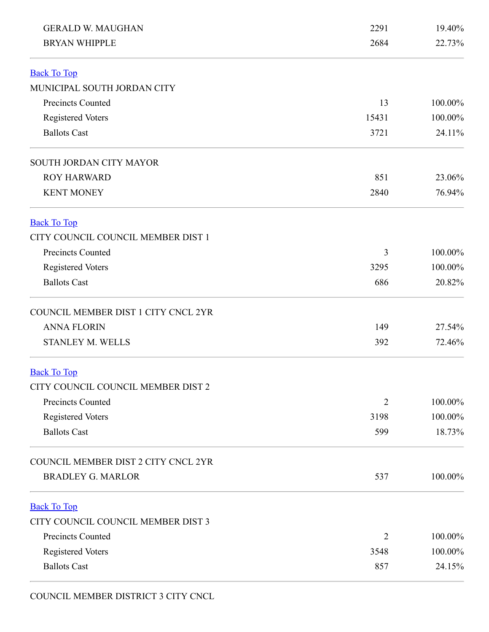<span id="page-5-1"></span><span id="page-5-0"></span>

| <b>GERALD W. MAUGHAN</b>            | 2291           | 19.40%  |
|-------------------------------------|----------------|---------|
| <b>BRYAN WHIPPLE</b>                | 2684           | 22.73%  |
| <b>Back To Top</b>                  |                |         |
| MUNICIPAL SOUTH JORDAN CITY         |                |         |
| <b>Precincts Counted</b>            | 13             | 100.00% |
| <b>Registered Voters</b>            | 15431          | 100.00% |
| <b>Ballots Cast</b>                 | 3721           | 24.11%  |
| SOUTH JORDAN CITY MAYOR             |                |         |
| <b>ROY HARWARD</b>                  | 851            | 23.06%  |
| <b>KENT MONEY</b>                   | 2840           | 76.94%  |
| <b>Back To Top</b>                  |                |         |
| CITY COUNCIL COUNCIL MEMBER DIST 1  |                |         |
| <b>Precincts Counted</b>            | 3              | 100.00% |
| <b>Registered Voters</b>            | 3295           | 100.00% |
| <b>Ballots Cast</b>                 | 686            | 20.82%  |
| COUNCIL MEMBER DIST 1 CITY CNCL 2YR |                |         |
| <b>ANNA FLORIN</b>                  | 149            | 27.54%  |
| <b>STANLEY M. WELLS</b>             | 392            | 72.46%  |
| <b>Back To Top</b>                  |                |         |
| CITY COUNCIL COUNCIL MEMBER DIST 2  |                |         |
| Precincts Counted                   | $\overline{2}$ | 100.00% |
| Registered Voters                   | 3198           | 100.00% |
| <b>Ballots Cast</b>                 | 599            | 18.73%  |
| COUNCIL MEMBER DIST 2 CITY CNCL 2YR |                |         |
| <b>BRADLEY G. MARLOR</b>            | 537            | 100.00% |
| <b>Back To Top</b>                  |                |         |
| CITY COUNCIL COUNCIL MEMBER DIST 3  |                |         |
| <b>Precincts Counted</b>            | 2              | 100.00% |
| <b>Registered Voters</b>            | 3548           | 100.00% |
| <b>Ballots Cast</b>                 | 857            | 24.15%  |

<span id="page-5-3"></span><span id="page-5-2"></span>COUNCIL MEMBER DISTRICT 3 CITY CNCL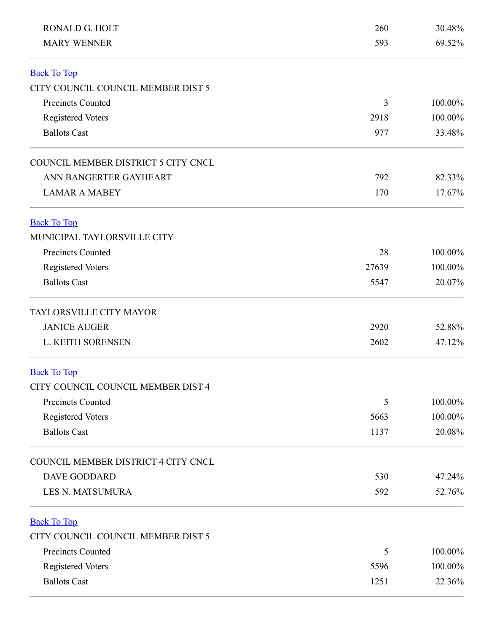<span id="page-6-3"></span><span id="page-6-2"></span><span id="page-6-1"></span><span id="page-6-0"></span>

| RONALD G. HOLT                      | 260            | 30.48%  |
|-------------------------------------|----------------|---------|
| <b>MARY WENNER</b>                  | 593            | 69.52%  |
| <b>Back To Top</b>                  |                |         |
| CITY COUNCIL COUNCIL MEMBER DIST 5  |                |         |
| <b>Precincts Counted</b>            | $\overline{3}$ | 100.00% |
| <b>Registered Voters</b>            | 2918           | 100.00% |
| <b>Ballots Cast</b>                 | 977            | 33.48%  |
| COUNCIL MEMBER DISTRICT 5 CITY CNCL |                |         |
| ANN BANGERTER GAYHEART              | 792            | 82.33%  |
| <b>LAMAR A MABEY</b>                | 170            | 17.67%  |
| <b>Back To Top</b>                  |                |         |
| MUNICIPAL TAYLORSVILLE CITY         |                |         |
| <b>Precincts Counted</b>            | 28             | 100.00% |
| <b>Registered Voters</b>            | 27639          | 100.00% |
| <b>Ballots Cast</b>                 | 5547           | 20.07%  |
| TAYLORSVILLE CITY MAYOR             |                |         |
| <b>JANICE AUGER</b>                 | 2920           | 52.88%  |
| L. KEITH SORENSEN                   | 2602           | 47.12%  |
| <b>Back To Top</b>                  |                |         |
| CITY COUNCIL COUNCIL MEMBER DIST 4  |                |         |
| Precincts Counted                   | 5              | 100.00% |
| Registered Voters                   | 5663           | 100.00% |
| <b>Ballots Cast</b>                 | 1137           | 20.08%  |
| COUNCIL MEMBER DISTRICT 4 CITY CNCL |                |         |
| <b>DAVE GODDARD</b>                 | 530            | 47.24%  |
| <b>LES N. MATSUMURA</b>             | 592            | 52.76%  |
| <b>Back To Top</b>                  |                |         |
| CITY COUNCIL COUNCIL MEMBER DIST 5  |                |         |
| Precincts Counted                   | 5              | 100.00% |
| <b>Registered Voters</b>            | 5596           | 100.00% |
| <b>Ballots Cast</b>                 | 1251           | 22.36%  |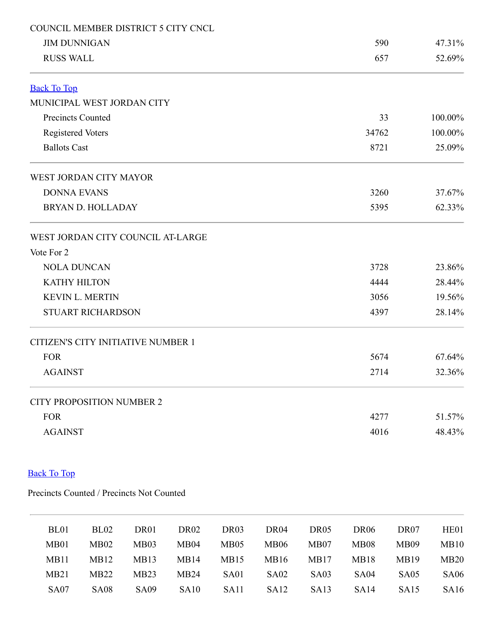<span id="page-7-0"></span>

| COUNCIL MEMBER DISTRICT 5 CITY CNCL |       |         |
|-------------------------------------|-------|---------|
| <b>JIM DUNNIGAN</b>                 | 590   | 47.31%  |
| <b>RUSS WALL</b>                    | 657   | 52.69%  |
| <b>Back To Top</b>                  |       |         |
| MUNICIPAL WEST JORDAN CITY          |       |         |
| Precincts Counted                   | 33    | 100.00% |
| <b>Registered Voters</b>            | 34762 | 100.00% |
| <b>Ballots Cast</b>                 | 8721  | 25.09%  |
| WEST JORDAN CITY MAYOR              |       |         |
| <b>DONNA EVANS</b>                  | 3260  | 37.67%  |
| <b>BRYAN D. HOLLADAY</b>            | 5395  | 62.33%  |
| WEST JORDAN CITY COUNCIL AT-LARGE   |       |         |
| Vote For 2                          |       |         |
| <b>NOLA DUNCAN</b>                  | 3728  | 23.86%  |
| <b>KATHY HILTON</b>                 | 4444  | 28.44%  |
| <b>KEVIN L. MERTIN</b>              | 3056  | 19.56%  |
| <b>STUART RICHARDSON</b>            | 4397  | 28.14%  |
| CITIZEN'S CITY INITIATIVE NUMBER 1  |       |         |
| <b>FOR</b>                          | 5674  | 67.64%  |
| <b>AGAINST</b>                      | 2714  | 32.36%  |
| <b>CITY PROPOSITION NUMBER 2</b>    |       |         |
| <b>FOR</b>                          | 4277  | 51.57%  |
| <b>AGAINST</b>                      | 4016  | 48.43%  |
|                                     |       |         |

## Back To Top

Precincts Counted / Precincts Not Counted

<span id="page-7-1"></span>

| BL <sub>01</sub> | BL <sub>02</sub> | DR01             | DR <sub>02</sub> | DR <sub>03</sub> | DR04              | DR <sub>05</sub> | DR <sub>06</sub> | DR <sub>07</sub> | HE <sub>01</sub> |
|------------------|------------------|------------------|------------------|------------------|-------------------|------------------|------------------|------------------|------------------|
| MB01             | MB02             | MB03             | MB <sub>04</sub> | MB05             | <b>MB06</b>       | MB07             | <b>MB08</b>      | MB09             | MB10             |
| MB11             | MB12             | MB13             | MB14             | MB15             | MB16              | MB17             | MB18             | MB19             | MB20             |
| MB21             | MB22             | MB <sub>23</sub> | MB24             | SA01             | SA <sub>0</sub> 2 | SA03             | SA <sub>04</sub> | SA <sub>05</sub> | <b>SA06</b>      |
| <b>SA07</b>      | <b>SA08</b>      | SA <sub>09</sub> | SA <sub>10</sub> | SA <sub>11</sub> | SA <sub>12</sub>  | SA <sub>13</sub> | SA <sub>14</sub> | SA <sub>15</sub> | SA16             |